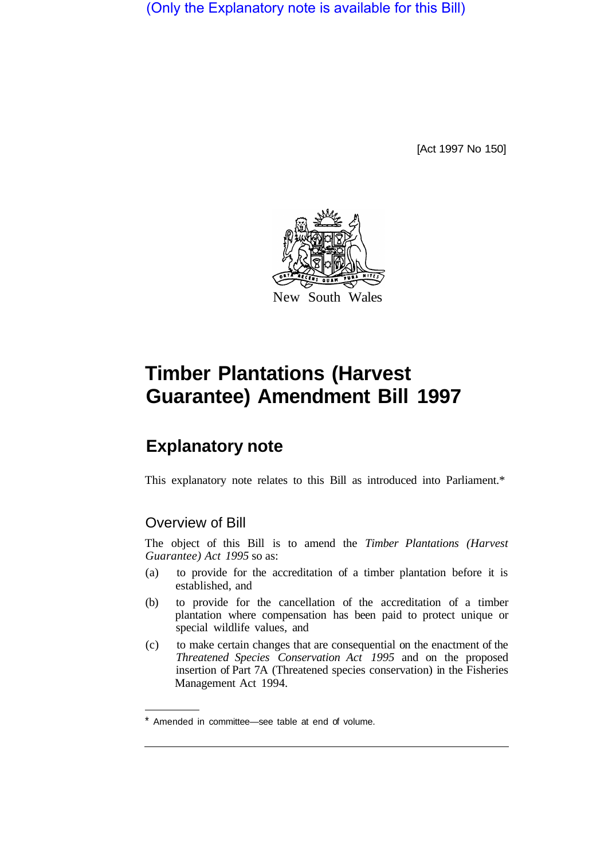(Only the Explanatory note is available for this Bill)

[Act 1997 No 150]



# **Timber Plantations (Harvest Guarantee) Amendment Bill 1997**

# **Explanatory note**

This explanatory note relates to this Bill as introduced into Parliament.\*

## Overview of Bill

The object of this Bill is to amend the *Timber Plantations (Harvest Guarantee) Act 1995* so as:

- (a) to provide for the accreditation of a timber plantation before it is established, and
- (b) to provide for the cancellation of the accreditation of a timber plantation where compensation has been paid to protect unique or special wildlife values, and
- (c) to make certain changes that are consequential on the enactment of the *Threatened Species Conservation Act 1995* and on the proposed insertion of Part 7A (Threatened species conservation) in the Fisheries Management Act 1994.

<sup>\*</sup> Amended in committee—see table at end of volume.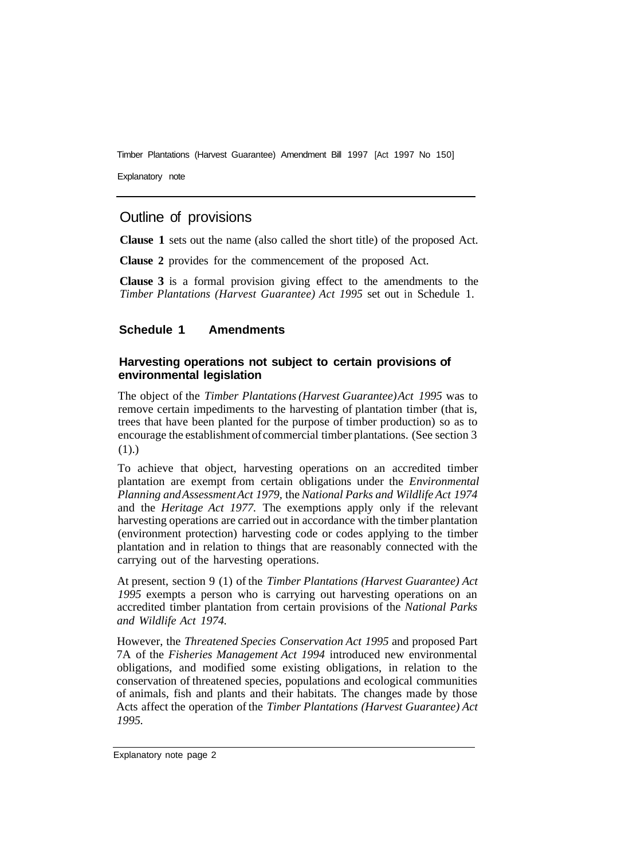Explanatory note

### Outline of provisions

**Clause 1** sets out the name (also called the short title) of the proposed Act.

**Clause 2** provides for the commencement of the proposed Act.

**Clause 3** is a formal provision giving effect to the amendments to the *Timber Plantations (Harvest Guarantee) Act 1995* set out in Schedule 1.

#### **Schedule 1 Amendments**

#### **Harvesting operations not subject to certain provisions of environmental legislation**

The object of the *Timber Plantations (Harvest Guarantee) Act 1995* was to remove certain impediments to the harvesting of plantation timber (that is, trees that have been planted for the purpose of timber production) so as to encourage the establishment of commercial timber plantations. (See section 3  $(1).)$ 

To achieve that object, harvesting operations on an accredited timber plantation are exempt from certain obligations under the *Environmental Planning and Assessment Act 1979,* the *National Parks and Wildlife Act 1974*  and the *Heritage Act 1977.* The exemptions apply only if the relevant harvesting operations are carried out in accordance with the timber plantation (environment protection) harvesting code or codes applying to the timber plantation and in relation to things that are reasonably connected with the carrying out of the harvesting operations.

At present, section 9 (1) of the *Timber Plantations (Harvest Guarantee) Act 1995* exempts a person who is carrying out harvesting operations on an accredited timber plantation from certain provisions of the *National Parks and Wildlife Act 1974.* 

However, the *Threatened Species Conservation Act 1995* and proposed Part 7A of the *Fisheries Management Act 1994* introduced new environmental obligations, and modified some existing obligations, in relation to the conservation of threatened species, populations and ecological communities of animals, fish and plants and their habitats. The changes made by those Acts affect the operation of the *Timber Plantations (Harvest Guarantee) Act 1995.*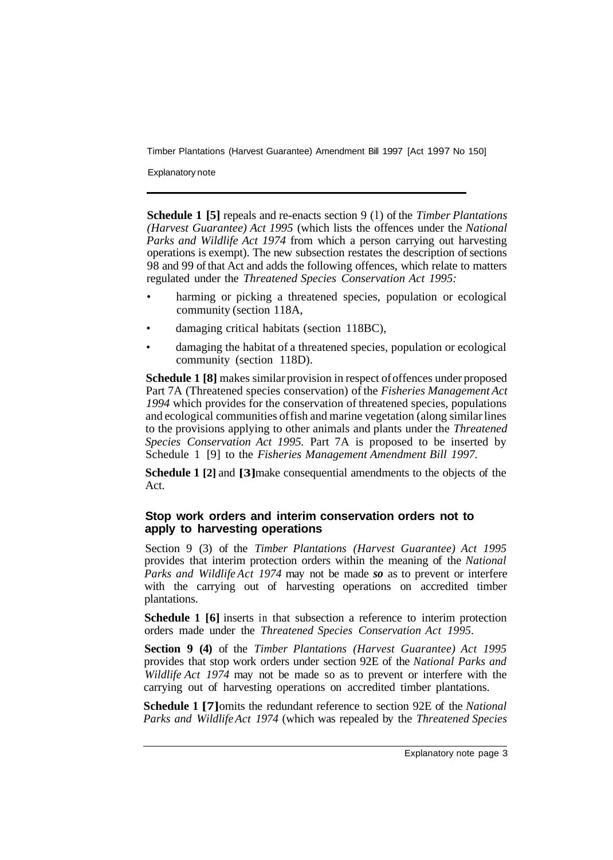Explanatory note

**Schedule 1 [5]** repeals and re-enacts section 9 (l) of the *Timber Plantations (Harvest Guarantee) Act 1995* (which lists the offences under the *National Parks and Wildlife Act 1974* from which a person carrying out harvesting operations is exempt). The new subsection restates the description of sections 98 and 99 of that Act and adds the following offences, which relate to matters regulated under the *Threatened Species Conservation Act 1995:* 

- harming or picking a threatened species, population or ecological community (section 118A,
- damaging critical habitats (section 118BC),
- damaging the habitat of a threatened species, population or ecological community (section 118D).

**Schedule 1 [8]** makes similar provision in respect of offences under proposed Part 7A (Threatened species conservation) of the *Fisheries Management Act 1994* which provides for the conservation of threatened species, populations and ecological communities of fish and marine vegetation (along similar lines to the provisions applying to other animals and plants under the *Threatened Species Conservation Act 1995.* Part 7A is proposed to be inserted by Schedule 1 [9] to the *Fisheries Management Amendment Bill 1997.* 

**Schedule 1 [2]** and **[3]** make consequential amendments to the objects of the Act.

#### **Stop work orders and interim conservation orders not to apply to harvesting operations**

Section 9 (3) of the *Timber Plantations (Harvest Guarantee) Act 1995*  provides that interim protection orders within the meaning of the *National Parks and Wildlife Act 1974* may not be made *so* as to prevent or interfere with the carrying out of harvesting operations on accredited timber plantations.

**Schedule 1 [6]** inserts in that subsection a reference to interim protection orders made under the *Threatened Species Conservation Act 1995.* 

**Section 9 (4)** of the *Timber Plantations (Harvest Guarantee) Act 1995*  provides that stop work orders under section 92E of the *National Parks and Wildlife Act 1974* may not be made so as to prevent or interfere with the carrying out of harvesting operations on accredited timber plantations.

**Schedule 1 [7]**omits the redundant reference to section 92E of the *National Parks and Wildlife Act 1974* (which was repealed by the *Threatened Species*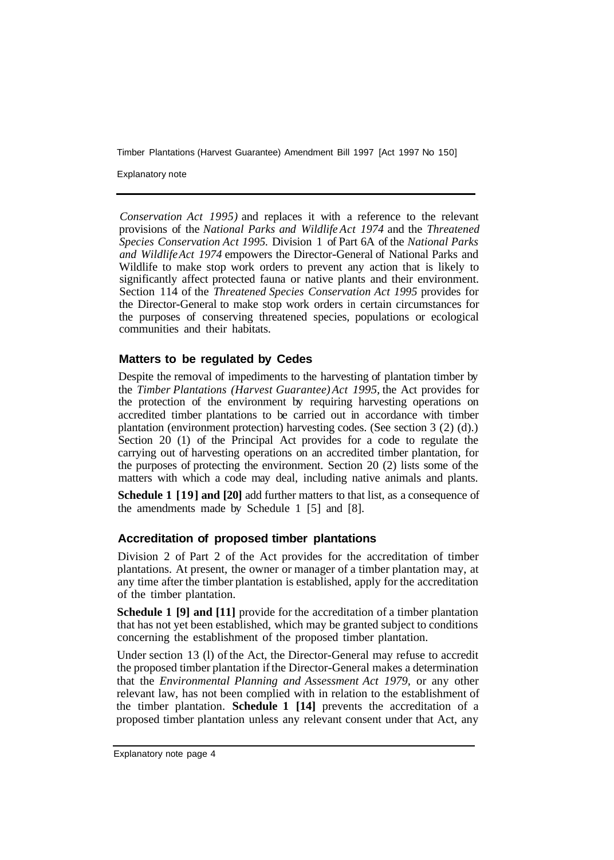Explanatory note

*Conservation Act 1995)* and replaces it with a reference to the relevant provisions of the *National Parks and Wildlife Act 1974* and the *Threatened Species Conservation Act 1995.* Division 1 of Part 6A of the *National Parks and Wildlife Act 1974* empowers the Director-General of National Parks and Wildlife to make stop work orders to prevent any action that is likely to significantly affect protected fauna or native plants and their environment. Section 114 of the *Threatened Species Conservation Act 1995* provides for the Director-General to make stop work orders in certain circumstances for the purposes of conserving threatened species, populations or ecological communities and their habitats.

#### **Matters to be regulated by Cedes**

Despite the removal of impediments to the harvesting of plantation timber by the *Timber Plantations (Harvest Guarantee) Act 1995,* the Act provides for the protection of the environment by requiring harvesting operations on accredited timber plantations to be carried out in accordance with timber plantation (environment protection) harvesting codes. (See section 3 (2) (d).) Section 20 (1) of the Principal Act provides for a code to regulate the carrying out of harvesting operations on an accredited timber plantation, for the purposes of protecting the environment. Section 20 (2) lists some of the matters with which a code may deal, including native animals and plants.

**Schedule 1 [19] and [20]** add further matters to that list, as a consequence of the amendments made by Schedule 1 [5] and [8].

#### **Accreditation of proposed timber plantations**

Division 2 of Part 2 of the Act provides for the accreditation of timber plantations. At present, the owner or manager of a timber plantation may, at any time after the timber plantation is established, apply for the accreditation of the timber plantation.

**Schedule 1 [9] and [11]** provide for the accreditation of a timber plantation that has not yet been established, which may be granted subject to conditions concerning the establishment of the proposed timber plantation.

Under section 13 (l) of the Act, the Director-General may refuse to accredit the proposed timber plantation if the Director-General makes a determination that the *Environmental Planning and Assessment Act 1979,* or any other relevant law, has not been complied with in relation to the establishment of the timber plantation. **Schedule 1 [14]** prevents the accreditation of a proposed timber plantation unless any relevant consent under that Act, any